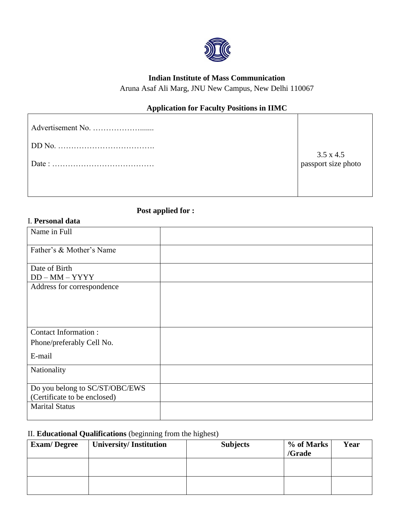

# **Indian Institute of Mass Communication**

Aruna Asaf Ali Marg, JNU New Campus, New Delhi 110067

# **Application for Faculty Positions in IIMC**

| $\begin{array}{c} 3.5 \times 4.5 \\ \text{password size photo} \end{array}$ |
|-----------------------------------------------------------------------------|
|                                                                             |

**Post applied for :** 

# I. **Personal data**

| Name in Full                      |  |
|-----------------------------------|--|
| Father's & Mother's Name          |  |
| Date of Birth<br>$DD - MM - YYYY$ |  |
| Address for correspondence        |  |
|                                   |  |
|                                   |  |
| <b>Contact Information:</b>       |  |
| Phone/preferably Cell No.         |  |
| E-mail                            |  |
| Nationality                       |  |
| Do you belong to SC/ST/OBC/EWS    |  |
| (Certificate to be enclosed)      |  |
| <b>Marital Status</b>             |  |

# II. **Educational Qualifications** (beginning from the highest)

| <b>Exam/Degree</b> | <b>University/Institution</b> | <b>Subjects</b> | % of Marks<br>/Grade | Year |
|--------------------|-------------------------------|-----------------|----------------------|------|
|                    |                               |                 |                      |      |
|                    |                               |                 |                      |      |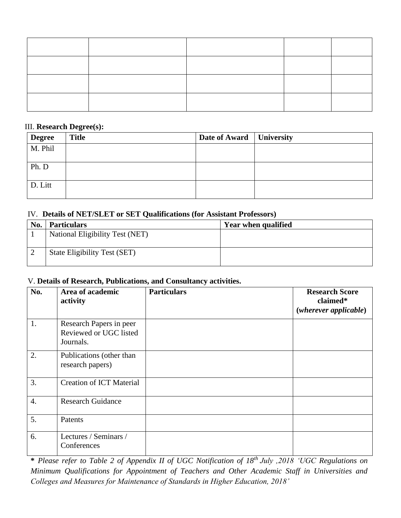#### III. **Research Degree(s):**

| <b>Degree</b> | <b>Title</b> | Date of Award   University |  |
|---------------|--------------|----------------------------|--|
| M. Phil       |              |                            |  |
| Ph. D         |              |                            |  |
| D. Litt       |              |                            |  |

## IV. **Details of NET/SLET or SET Qualifications (for Assistant Professors)**

| No. | <b>Particulars</b>                  | Year when qualified |
|-----|-------------------------------------|---------------------|
|     | National Eligibility Test (NET)     |                     |
|     |                                     |                     |
|     | <b>State Eligibility Test (SET)</b> |                     |
|     |                                     |                     |

### V. **Details of Research, Publications, and Consultancy activities.**

| No.              | Area of academic<br>activity                                   | <b>Particulars</b> | <b>Research Score</b><br>claimed*<br>$(wherever\ applicable)$ |
|------------------|----------------------------------------------------------------|--------------------|---------------------------------------------------------------|
| 1.               | Research Papers in peer<br>Reviewed or UGC listed<br>Journals. |                    |                                                               |
| 2.               | Publications (other than<br>research papers)                   |                    |                                                               |
| 3.               | <b>Creation of ICT Material</b>                                |                    |                                                               |
| $\overline{4}$ . | <b>Research Guidance</b>                                       |                    |                                                               |
| 5.               | Patents                                                        |                    |                                                               |
| 6.               | Lectures / Seminars /<br>Conferences                           |                    |                                                               |

**\*** *Please refer to Table 2 of Appendix II of UGC Notification of 18th July ,2018 'UGC Regulations on Minimum Qualifications for Appointment of Teachers and Other Academic Staff in Universities and Colleges and Measures for Maintenance of Standards in Higher Education, 2018'*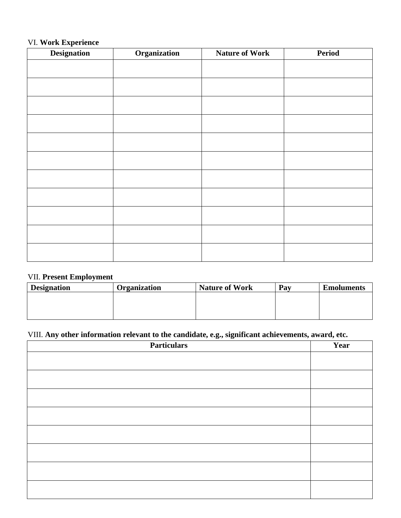### VI. **Work Experience**

| <b>Designation</b> | Organization | <b>Nature of Work</b> | Period |
|--------------------|--------------|-----------------------|--------|
|                    |              |                       |        |
|                    |              |                       |        |
|                    |              |                       |        |
|                    |              |                       |        |
|                    |              |                       |        |
|                    |              |                       |        |
|                    |              |                       |        |
|                    |              |                       |        |
|                    |              |                       |        |
|                    |              |                       |        |
|                    |              |                       |        |
|                    |              |                       |        |
|                    |              |                       |        |
|                    |              |                       |        |
|                    |              |                       |        |
|                    |              |                       |        |
|                    |              |                       |        |
|                    |              |                       |        |

### VII. **Present Employment**

| <b>Designation</b> | Organization | <b>Nature of Work</b> | Pay | <b>Emoluments</b> |
|--------------------|--------------|-----------------------|-----|-------------------|
|                    |              |                       |     |                   |
|                    |              |                       |     |                   |
|                    |              |                       |     |                   |

# VIII. **Any other information relevant to the candidate, e.g., significant achievements, award, etc.**

| <b>Particulars</b><br>$\sim$ 0 $\sim$ 0 | Year |
|-----------------------------------------|------|
|                                         |      |
|                                         |      |
|                                         |      |
|                                         |      |
|                                         |      |
|                                         |      |
|                                         |      |
|                                         |      |
|                                         |      |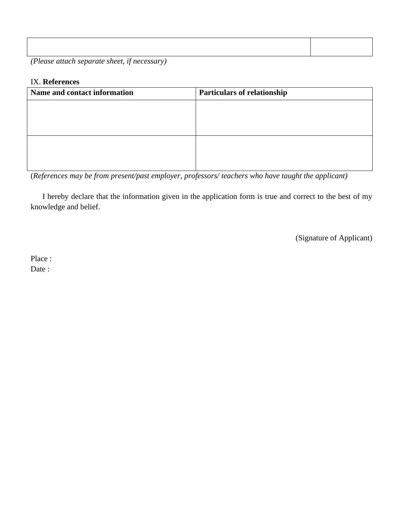| $\sim$ $\sim$ $\sim$ | the contract of the contract of the contract of the contract of the contract of | $\cdot$ |  |  |
|----------------------|---------------------------------------------------------------------------------|---------|--|--|
|                      |                                                                                 |         |  |  |
|                      |                                                                                 |         |  |  |
|                      |                                                                                 |         |  |  |
|                      |                                                                                 |         |  |  |
|                      |                                                                                 |         |  |  |
|                      |                                                                                 |         |  |  |
|                      |                                                                                 |         |  |  |

*(Please attach separate sheet, if necessary)*

#### IX. **References**

| Name and contact information | <b>Particulars of relationship</b> |
|------------------------------|------------------------------------|
|                              |                                    |
|                              |                                    |
|                              |                                    |
|                              |                                    |
|                              |                                    |
|                              |                                    |

(*References may be from present/past employer, professors/ teachers who have taught the applicant)*

I hereby declare that the information given in the application form is true and correct to the best of my knowledge and belief.

(Signature of Applicant)

Place : Date :